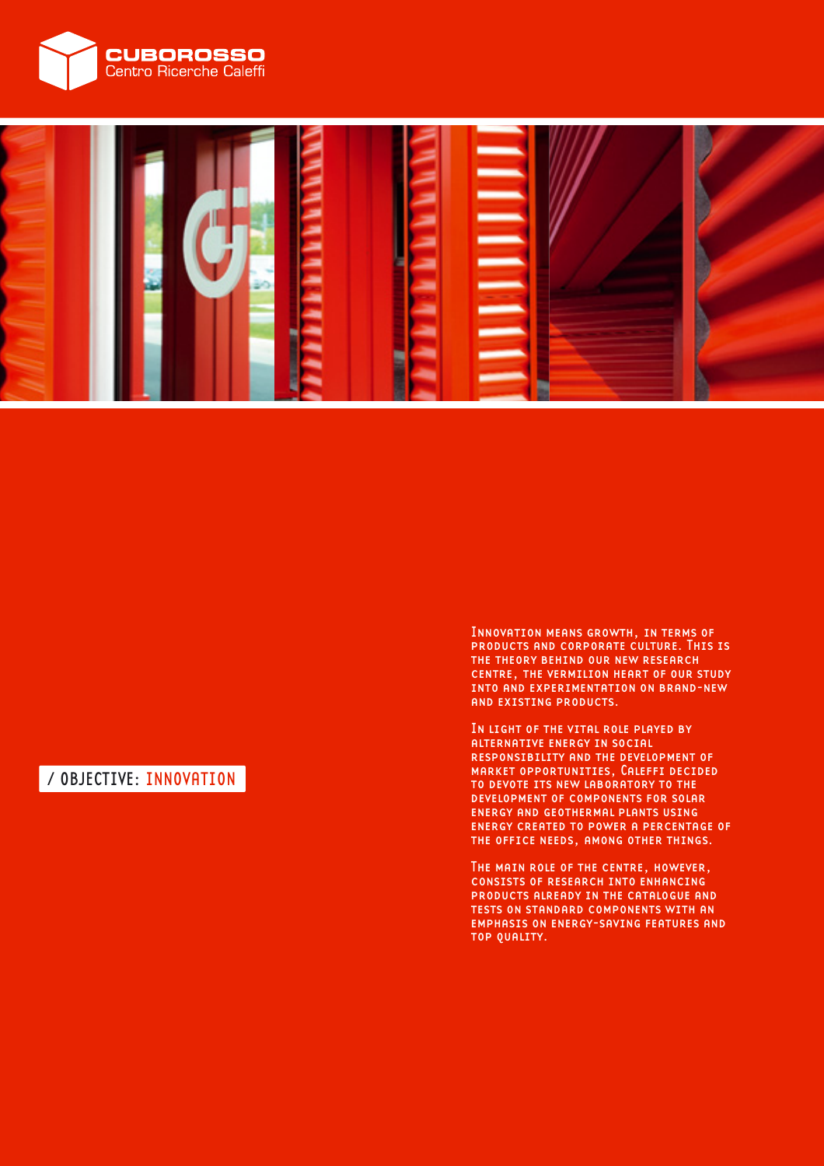



# / OBJECTIVE: INNOVATION

Innovation means growth, in terms of products and corporate culture. This is the theory behind our new research centre, the vermilion heart of our study into and experimentation on brand-new and existing products.

In light of the vital role played by alternative energy in social responsibility and the development of market opportunities, Caleffi decided to devote its new laboratory to the development of components for solar energy and geothermal plants using energy created to power a percentage of the office needs, among other things.

The main role of the centre, however, consists of research into enhancing products already in the catalogue and tests on standard components with an emphasis on energy-saving features and top quality.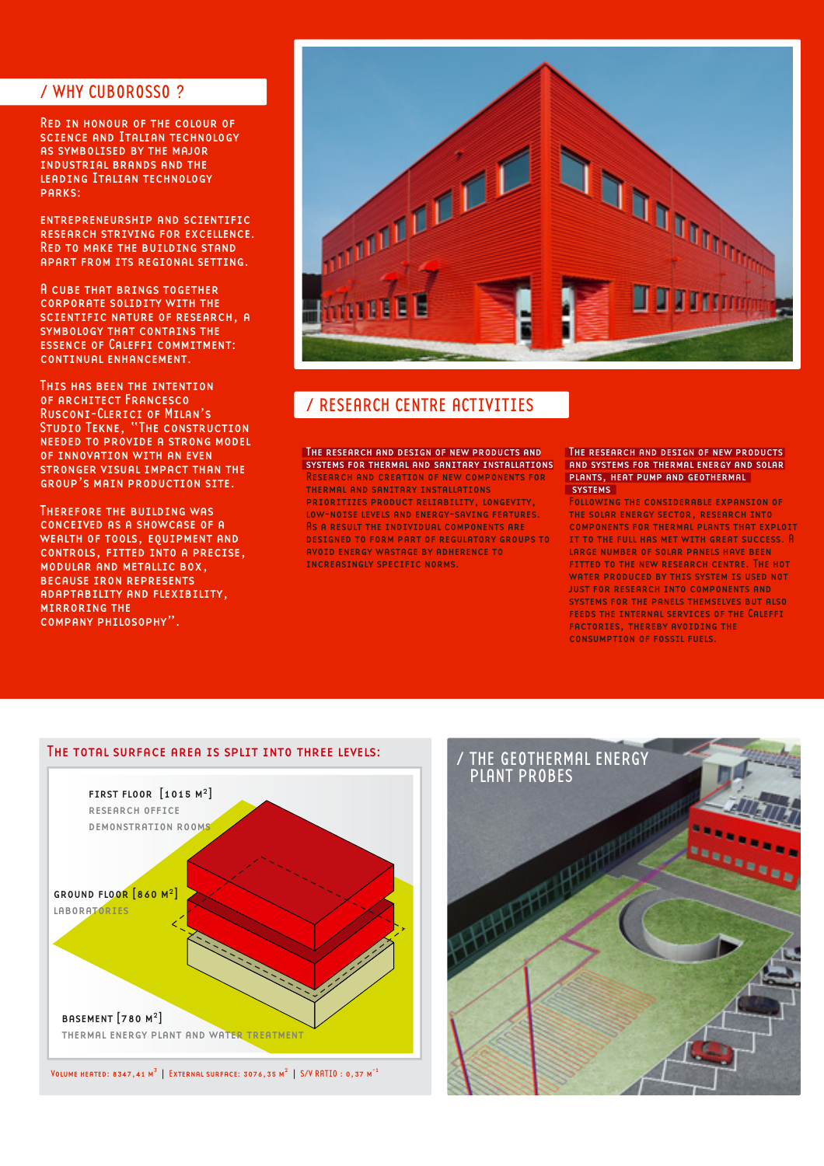### / WHY CUBOROSSO ?

Red in honour of the colour of science and Italian technology as symbolised by the major industrial brands and the leading Italian technology parks:

entrepreneurship and scientific research striving for excellence. Red to make the building stand apart from its regional setting.

A cube that brings together corporate solidity with the scientific nature of research, a SYMBOLOGY THAT CONTAINS THE essence of Caleffi commitment: continual enhancement.

This has been the intention of architect Francesco Rusconi-Clerici of Milan's Studio Tekne, "The construction needed to provide a strong model of innovation with an even stronger visual impact than the group's main production site.

Therefore the building was conceived as a showcase of a WEALTH OF TOOLS, EQUIPMENT AND controls, fitted into a precise, modular and metallic box, because iron represents adaptability and flexibility, mirroring the company philosophy".



## / RESEARCH CENTRE ACTIVITIES

The research and design of new products and systems for thermal and sanitary installations Research and creation of new components for thermal and sanitary installations prioritizes product reliability, longevity, LOW-NOISE LEVELS AND ENERGY-SAVING FEATURES. As a result the individual components are designed to form part of regulatory groups to avoid energy wastage by adherence to increasingly specific norms.

#### The research and design of new products and systems for thermal energy and solar plants, heat pump and geothermal **SYSTEMS**

Following the considerable expansion of the solar energy sector, research into components for thermal plants that exploit it to the full has met with great success. A large number of solar panels have been fitted to the new research centre. The hot water produced by this system is used not just for research into components and systems for the panels themselves but also feeds the internal services of the Caleffi factories, thereby avoiding the consumption of fossil fuels.





#### The total surface area is split into three levels: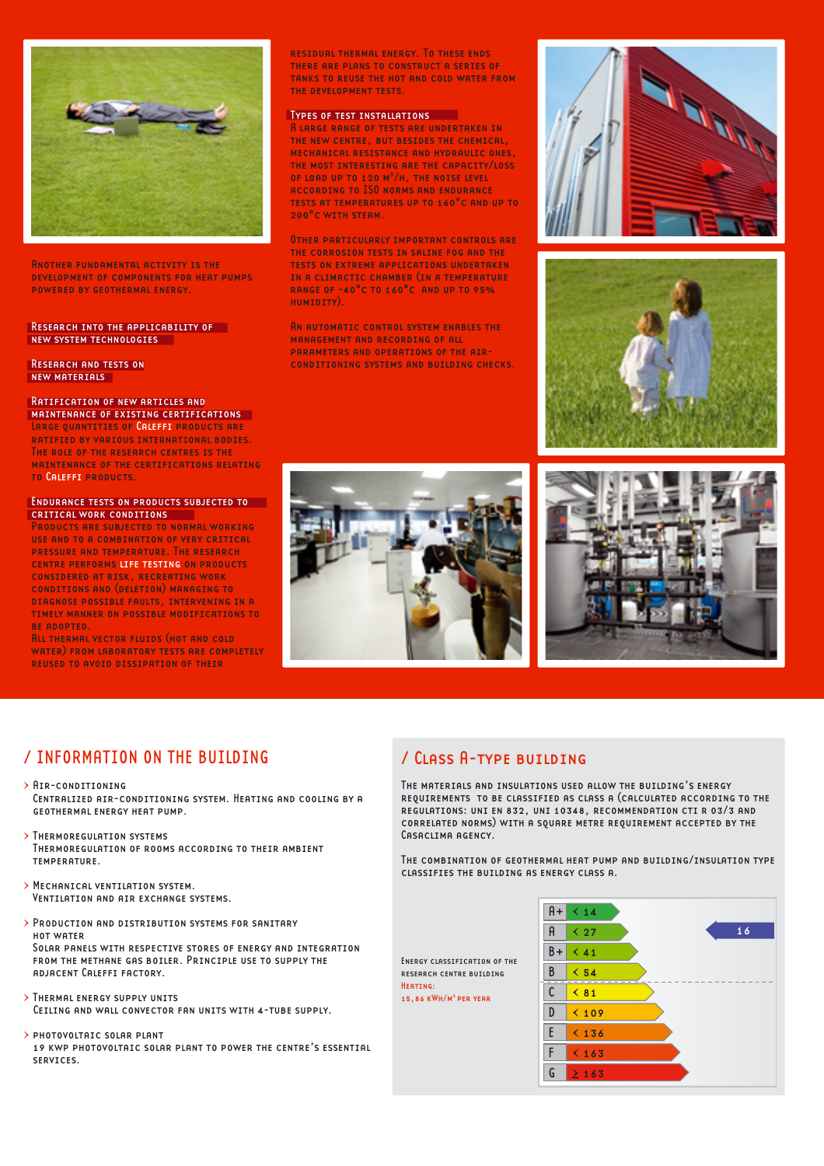

Another fundamental activity is the development of components for heat pumps powered by geothermal energy.

#### Research into the applicability of new system technologies

Research and tests on new materials

### Ratification of new articles and

maintenance of existing certifications LARGE QUANTITIES OF CALEFFI PRODUCTS ARE ratified by various international bodies. The role of the research centres is the maintenance of the certifications relating to Caleffi products.

#### ENDURANCE TESTS ON PRODUCTS SUBJECTED TO critical work conditions

Products are subjected to normal working use and to a combination of very critical pressure and temperature. The research centre performs life testing on products considered at risk, recreating work conditions and (deletion) managing to diagnose possible faults, intervening in a timely manner on possible modifications to be adopted.

All thermal vector fluids (hot and cold WATER) FROM LABORATORY TESTS ARE COMPLETELY reused to avoid dissipation of their

residual thermal energy. To these ends there are plans to construct a series of tanks to reuse the hot and cold water from the development tests.

#### Types of test installations

A large range of tests are undertaken in the new centre, but besides the chemical, mechanical resistance and hydraulic ones, the most interesting are the capacity/loss of load up to 120 m3 /h, the noise level according to ISO norms and endurance tests at temperatures up to 160°c and up to 200°c with steam.

Other particularly important controls are the corrosion tests in saline fog and the tests on extreme applications undertaken in a climactic chamber (in a temperature range of -40°c to 160°c and up to 95% humidity).

An automatic control system enables the management and recording of all parameters and operations of the airconditioning systems and building checks.







### / INFORMATION ON THE BUILDING

- > Air-conditioning
- Centralized air-conditioning system. Heating and cooling by a geothermal energy heat pump.
- > Thermoregulation systems Thermoregulation of rooms according to their ambient temperature.
- > Mechanical ventilation system. VENTILATION AND AIR EXCHANGE SYSTEMS.
- > Production and distribution systems for sanitary hot water Solar panels with respective stores of energy and integration from the methane gas boiler. Principle use to supply the adjacent Caleffi factory.
- > Thermal energy supply units Ceiling and wall convector fan units with 4-tube supply.
- > photovoltaic solar plant 19 kwp photovoltaic solar plant to power the centre's essential services.

### / Class A-type building

The materials and insulations used allow the building's energy requirements to be classified as class a (calculated according to the regulations: uni en 832, uni 10348, recommendation cti r 03/3 and correlated norms) with a square metre requirement accepted by the Casaclima agency.

The combination of geothermal heat pump and building/insulation type classifies the building as energy class a.

Energy classification of the research centre building Heating: 15,86 kWh/m2 per year